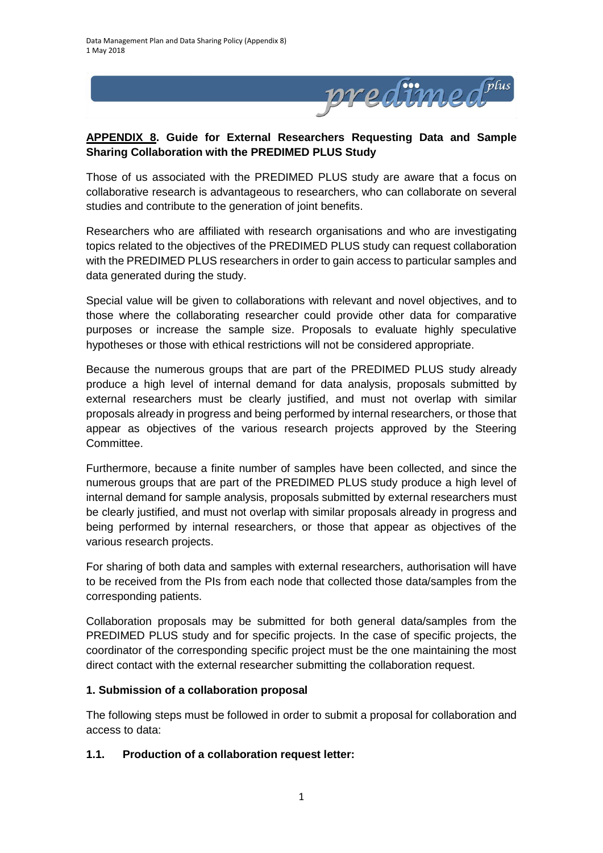

# **APPENDIX 8. Guide for External Researchers Requesting Data and Sample Sharing Collaboration with the PREDIMED PLUS Study**

Those of us associated with the PREDIMED PLUS study are aware that a focus on collaborative research is advantageous to researchers, who can collaborate on several studies and contribute to the generation of joint benefits.

Researchers who are affiliated with research organisations and who are investigating topics related to the objectives of the PREDIMED PLUS study can request collaboration with the PREDIMED PLUS researchers in order to gain access to particular samples and data generated during the study.

Special value will be given to collaborations with relevant and novel objectives, and to those where the collaborating researcher could provide other data for comparative purposes or increase the sample size. Proposals to evaluate highly speculative hypotheses or those with ethical restrictions will not be considered appropriate.

Because the numerous groups that are part of the PREDIMED PLUS study already produce a high level of internal demand for data analysis, proposals submitted by external researchers must be clearly justified, and must not overlap with similar proposals already in progress and being performed by internal researchers, or those that appear as objectives of the various research projects approved by the Steering Committee.

Furthermore, because a finite number of samples have been collected, and since the numerous groups that are part of the PREDIMED PLUS study produce a high level of internal demand for sample analysis, proposals submitted by external researchers must be clearly justified, and must not overlap with similar proposals already in progress and being performed by internal researchers, or those that appear as objectives of the various research projects.

For sharing of both data and samples with external researchers, authorisation will have to be received from the PIs from each node that collected those data/samples from the corresponding patients.

Collaboration proposals may be submitted for both general data/samples from the PREDIMED PLUS study and for specific projects. In the case of specific projects, the coordinator of the corresponding specific project must be the one maintaining the most direct contact with the external researcher submitting the collaboration request.

### **1. Submission of a collaboration proposal**

The following steps must be followed in order to submit a proposal for collaboration and access to data:

### **1.1. Production of a collaboration request letter:**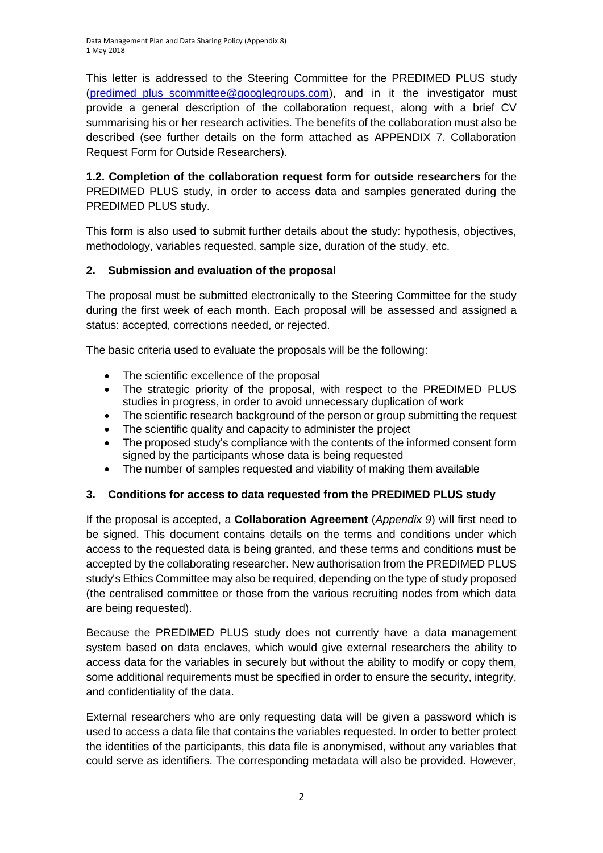Data Management Plan and Data Sharing Policy (Appendix 8) 1 May 2018

This letter is addressed to the Steering Committee for the PREDIMED PLUS study (predimed plus scommittee@googlegroups.com), and in it the investigator must provide a general description of the collaboration request, along with a brief CV summarising his or her research activities. The benefits of the collaboration must also be described (see further details on the form attached as APPENDIX 7. Collaboration Request Form for Outside Researchers).

**1.2. Completion of the collaboration request form for outside researchers** for the PREDIMED PLUS study, in order to access data and samples generated during the PREDIMED PLUS study.

This form is also used to submit further details about the study: hypothesis, objectives, methodology, variables requested, sample size, duration of the study, etc.

# **2. Submission and evaluation of the proposal**

The proposal must be submitted electronically to the Steering Committee for the study during the first week of each month. Each proposal will be assessed and assigned a status: accepted, corrections needed, or rejected.

The basic criteria used to evaluate the proposals will be the following:

- The scientific excellence of the proposal
- The strategic priority of the proposal, with respect to the PREDIMED PLUS studies in progress, in order to avoid unnecessary duplication of work
- The scientific research background of the person or group submitting the request
- The scientific quality and capacity to administer the project
- The proposed study's compliance with the contents of the informed consent form signed by the participants whose data is being requested
- The number of samples requested and viability of making them available

# **3. Conditions for access to data requested from the PREDIMED PLUS study**

If the proposal is accepted, a **Collaboration Agreement** (*Appendix 9*) will first need to be signed. This document contains details on the terms and conditions under which access to the requested data is being granted, and these terms and conditions must be accepted by the collaborating researcher. New authorisation from the PREDIMED PLUS study's Ethics Committee may also be required, depending on the type of study proposed (the centralised committee or those from the various recruiting nodes from which data are being requested).

Because the PREDIMED PLUS study does not currently have a data management system based on data enclaves, which would give external researchers the ability to access data for the variables in securely but without the ability to modify or copy them, some additional requirements must be specified in order to ensure the security, integrity, and confidentiality of the data.

External researchers who are only requesting data will be given a password which is used to access a data file that contains the variables requested. In order to better protect the identities of the participants, this data file is anonymised, without any variables that could serve as identifiers. The corresponding metadata will also be provided. However,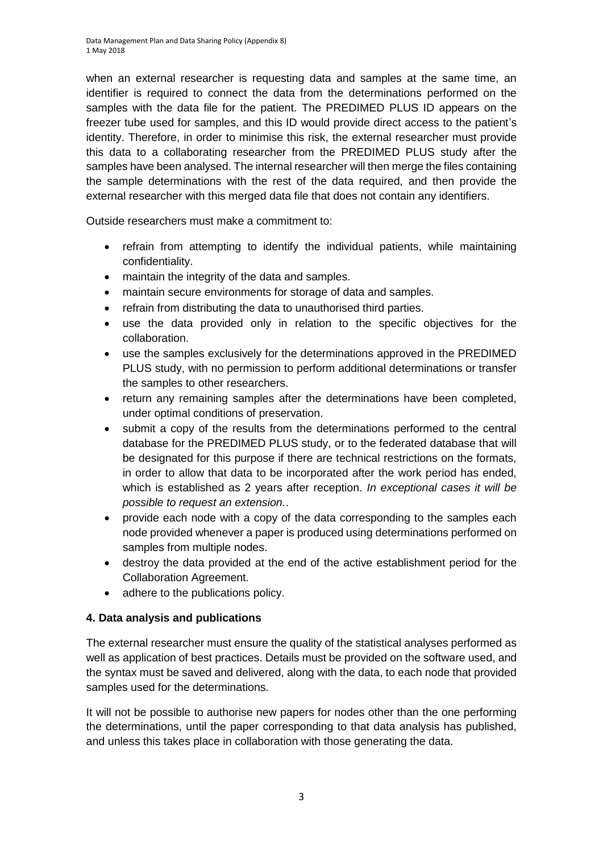when an external researcher is requesting data and samples at the same time, an identifier is required to connect the data from the determinations performed on the samples with the data file for the patient. The PREDIMED PLUS ID appears on the freezer tube used for samples, and this ID would provide direct access to the patient's identity. Therefore, in order to minimise this risk, the external researcher must provide this data to a collaborating researcher from the PREDIMED PLUS study after the samples have been analysed. The internal researcher will then merge the files containing the sample determinations with the rest of the data required, and then provide the external researcher with this merged data file that does not contain any identifiers.

Outside researchers must make a commitment to:

- refrain from attempting to identify the individual patients, while maintaining confidentiality.
- maintain the integrity of the data and samples.
- maintain secure environments for storage of data and samples.
- refrain from distributing the data to unauthorised third parties.
- use the data provided only in relation to the specific objectives for the collaboration.
- use the samples exclusively for the determinations approved in the PREDIMED PLUS study, with no permission to perform additional determinations or transfer the samples to other researchers.
- return any remaining samples after the determinations have been completed, under optimal conditions of preservation.
- submit a copy of the results from the determinations performed to the central database for the PREDIMED PLUS study, or to the federated database that will be designated for this purpose if there are technical restrictions on the formats, in order to allow that data to be incorporated after the work period has ended, which is established as 2 years after reception. *In exceptional cases it will be possible to request an extension.*.
- provide each node with a copy of the data corresponding to the samples each node provided whenever a paper is produced using determinations performed on samples from multiple nodes.
- destroy the data provided at the end of the active establishment period for the Collaboration Agreement.
- adhere to the publications policy.

# **4. Data analysis and publications**

The external researcher must ensure the quality of the statistical analyses performed as well as application of best practices. Details must be provided on the software used, and the syntax must be saved and delivered, along with the data, to each node that provided samples used for the determinations.

It will not be possible to authorise new papers for nodes other than the one performing the determinations, until the paper corresponding to that data analysis has published, and unless this takes place in collaboration with those generating the data.